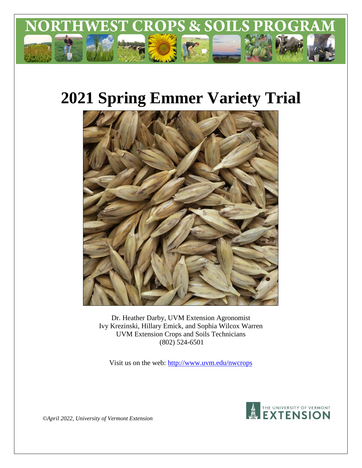

# **2021 Spring Emmer Variety Trial**



Dr. Heather Darby, UVM Extension Agronomist Ivy Krezinski, Hillary Emick, and Sophia Wilcox Warren UVM Extension Crops and Soils Technicians (802) 524-6501

Visit us on the web:<http://www.uvm.edu/nwcrops>



*©April 2022, University of Vermont Extension*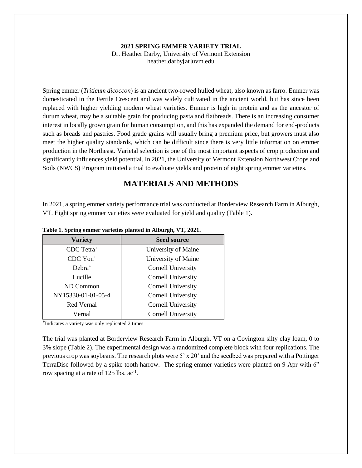#### **2021 SPRING EMMER VARIETY TRIAL**

Dr. Heather Darby, University of Vermont Extension heather.darby[at]uvm.edu

Spring emmer (*Triticum dicoccon*) is an ancient two-rowed hulled wheat, also known as farro. Emmer was domesticated in the Fertile Crescent and was widely cultivated in the ancient world, but has since been replaced with higher yielding modern wheat varieties. Emmer is high in protein and as the ancestor of durum wheat, may be a suitable grain for producing pasta and flatbreads. There is an increasing consumer interest in locally grown grain for human consumption, and this has expanded the demand for end-products such as breads and pastries. Food grade grains will usually bring a premium price, but growers must also meet the higher quality standards, which can be difficult since there is very little information on emmer production in the Northeast. Varietal selection is one of the most important aspects of crop production and significantly influences yield potential. In 2021, the University of Vermont Extension Northwest Crops and Soils (NWCS) Program initiated a trial to evaluate yields and protein of eight spring emmer varieties.

# **MATERIALS AND METHODS**

In 2021, a spring emmer variety performance trial was conducted at Borderview Research Farm in Alburgh, VT. Eight spring emmer varieties were evaluated for yield and quality (Table 1).

| <b>Variety</b>         | <b>Seed source</b>        |
|------------------------|---------------------------|
| CDC Tetra <sup>+</sup> | University of Maine       |
| $CDC$ Yon <sup>+</sup> | University of Maine       |
| $Debra+$               | Cornell University        |
| Lucille                | Cornell University        |
| ND Common              | Cornell University        |
| NY15330-01-01-05-4     | Cornell University        |
| Red Vernal             | Cornell University        |
| Vernal                 | <b>Cornell University</b> |

**Table 1. Spring emmer varieties planted in Alburgh, VT, 2021.**

+ Indicates a variety was only replicated 2 times

The trial was planted at Borderview Research Farm in Alburgh, VT on a Covington silty clay loam, 0 to 3% slope (Table 2). The experimental design was a randomized complete block with four replications. The previous crop was soybeans. The research plots were 5' x 20' and the seedbed was prepared with a Pottinger TerraDisc followed by a spike tooth harrow. The spring emmer varieties were planted on 9-Apr with 6" row spacing at a rate of 125 lbs.  $ac^{-1}$ .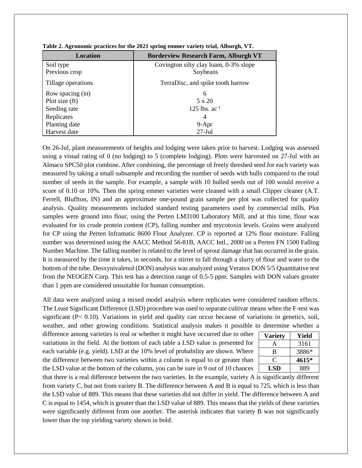| <b>Location</b>    | <b>Borderview Research Farm, Alburgh VT</b> |
|--------------------|---------------------------------------------|
| Soil type          | Covington silty clay loam, 0-3% slope       |
| Previous crop      | Soybeans                                    |
| Tillage operations | TerraDisc, and spike tooth harrow           |
| Row spacing (in)   | 6                                           |
| Plot size (ft)     | $5 \times 20$                               |
| Seeding rate       | 125 lbs. $ac^{-1}$                          |
| Replicates         | 4                                           |
| Planting date      | $9-Apr$                                     |
| Harvest date       | $27-Jul$                                    |

|  |  | Table 2. Agronomic practices for the 2021 spring emmer variety trial, Alburgh, VT. |  |  |
|--|--|------------------------------------------------------------------------------------|--|--|
|  |  |                                                                                    |  |  |
|  |  |                                                                                    |  |  |
|  |  |                                                                                    |  |  |

On 26-Jul, plant measurements of heights and lodging were taken prior to harvest. Lodging was assessed using a visual rating of 0 (no lodging) to 5 (complete lodging). Plots were harvested on 27-Jul with an Almaco SPC50 plot combine**.** After combining, the percentage of freely threshed seed for each variety was measured by taking a small subsample and recording the number of seeds with hulls compared to the total number of seeds in the sample. For example, a sample with 10 hulled seeds out of 100 would receive a score of 0.10 or 10%. Then the spring emmer varieties were cleaned with a small Clipper cleaner (A.T. Ferrell, Bluffton, IN) and an approximate one-pound grain sample per plot was collected for quality analysis. Quality measurements included standard testing parameters used by commercial mills. Plot samples were ground into flour, using the Perten LM3100 Laboratory Mill, and at this time, flour was evaluated for its crude protein content (CP), falling number and mycotoxin levels. Grains were analyzed for CP using the Perten Inframatic 8600 Flour Analyzer. CP is reported at 12% flour moisture. Falling number was determined using the AACC Method 56-81B, AACC Intl., 2000 on a Perten FN 1500 Falling Number Machine. The falling number is related to the level of sprout damage that has occurred in the grain. It is measured by the time it takes, in seconds, for a stirrer to fall through a slurry of flour and water to the bottom of the tube. Deoxynivalenol (DON) analysis was analyzed using Veratox DON 5/5 Quantitative test from the NEOGEN Corp. This test has a detection range of 0.5-5 ppm. Samples with DON values greater than 1 ppm are considered unsuitable for human consumption.

All data were analyzed using a mixed model analysis where replicates were considered random effects. The Least Significant Difference (LSD) procedure was used to separate cultivar means when the F-test was significant (P< 0.10). Variations in yield and quality can occur because of variations in genetics, soil, weather, and other growing conditions. Statistical analysis makes it possible to determine whether a

difference among varieties is real or whether it might have occurred due to other variations in the field. At the bottom of each table a LSD value is presented for each variable (e.g. yield). LSD at the 10% level of probability are shown. Where the difference between two varieties within a column is equal to or greater than the LSD value at the bottom of the column, you can be sure in 9 out of 10 chances

| Variety | Yield |
|---------|-------|
| А       | 3161  |
| B       | 3886* |
|         | 4615* |
| LSD     | 889   |

that there is a real difference between the two varieties. In the example, variety A is significantly different from variety C, but not from variety B. The difference between A and B is equal to 725, which is less than the LSD value of 889. This means that these varieties did not differ in yield. The difference between A and C is equal to 1454, which is greater than the LSD value of 889. This means that the yields of these varieties were significantly different from one another. The asterisk indicates that variety B was not significantly lower than the top yielding variety shown in bold.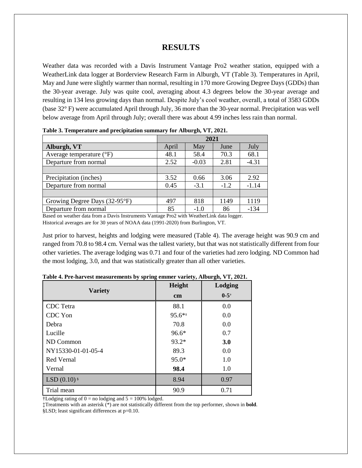## **RESULTS**

Weather data was recorded with a Davis Instrument Vantage Pro2 weather station, equipped with a WeatherLink data logger at Borderview Research Farm in Alburgh, VT (Table 3). Temperatures in April, May and June were slightly warmer than normal, resulting in 170 more Growing Degree Days (GDDs) than the 30-year average. July was quite cool, averaging about 4.3 degrees below the 30-year average and resulting in 134 less growing days than normal. Despite July's cool weather, overall, a total of 3583 GDDs (base 32° F) were accumulated April through July, 36 more than the 30-year normal. Precipitation was well below average from April through July; overall there was about 4.99 inches less rain than normal.

|                                     | 2021  |         |        |         |  |
|-------------------------------------|-------|---------|--------|---------|--|
| Alburgh, VT                         | April | May     | June   | July    |  |
| Average temperature $({}^{\circ}F)$ | 48.1  | 58.4    | 70.3   | 68.1    |  |
| Departure from normal               | 2.52  | $-0.03$ | 2.81   | $-4.31$ |  |
|                                     |       |         |        |         |  |
| Precipitation (inches)              | 3.52  | 0.66    | 3.06   | 2.92    |  |
| Departure from normal               | 0.45  | $-3.1$  | $-1.2$ | $-1.14$ |  |
|                                     |       |         |        |         |  |
| Growing Degree Days (32-95°F)       | 497   | 818     | 1149   | 1119    |  |
| Departure from normal               | 85    | $-1.0$  | 86     | $-134$  |  |

**Table 3. Temperature and precipitation summary for Alburgh, VT, 2021.**

Based on weather data from a Davis Instruments Vantage Pro2 with WeatherLink data logger. Historical averages are for 30 years of NOAA data (1991-2020) from Burlington, VT.

Just prior to harvest, heights and lodging were measured (Table 4). The average height was 90.9 cm and ranged from 70.8 to 98.4 cm. Vernal was the tallest variety, but that was not statistically different from four other varieties. The average lodging was 0.71 and four of the varieties had zero lodging. ND Common had the most lodging, 3.0, and that was statistically greater than all other varieties.

|                           | o<br>$\cdot$<br>0 |                      |  |  |  |
|---------------------------|-------------------|----------------------|--|--|--|
|                           | Height            | Lodging              |  |  |  |
| <b>Variety</b>            | cm                | $0 - 5$ <sup>+</sup> |  |  |  |
| CDC Tetra                 | 88.1              | 0.0                  |  |  |  |
| CDC Yon                   | $95.6**$          | 0.0                  |  |  |  |
| Debra                     | 70.8              | 0.0                  |  |  |  |
| Lucille                   | $96.6*$           | 0.7                  |  |  |  |
| ND Common                 | 93.2*             | 3.0                  |  |  |  |
| NY15330-01-01-05-4        | 89.3              | 0.0                  |  |  |  |
| Red Vernal                | 95.0*             | 1.0                  |  |  |  |
| Vernal                    | 98.4              | 1.0                  |  |  |  |
| LSD $(0.10)$ <sup>§</sup> | 8.94              | 0.97                 |  |  |  |
| Trial mean                | 90.9              | 0.71                 |  |  |  |

**Table 4. Pre-harvest measurements by spring emmer variety, Alburgh, VT, 2021.**

†Lodging rating of  $0 =$  no lodging and  $5 = 100\%$  lodged.

‡Treatments with an asterisk (\*) are not statistically different from the top performer, shown in **bold**. §LSD; least significant differences at p=0.10.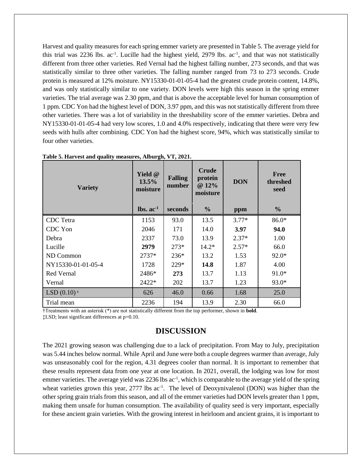Harvest and quality measures for each spring emmer variety are presented in Table 5. The average yield for this trial was 2236 lbs. ac<sup>-1</sup>. Lucille had the highest yield, 2979 lbs. ac<sup>-1</sup>, and that was not statistically different from three other varieties. Red Vernal had the highest falling number, 273 seconds, and that was statistically similar to three other varieties. The falling number ranged from 73 to 273 seconds. Crude protein is measured at 12% moisture. NY15330-01-01-05-4 had the greatest crude protein content, 14.8%, and was only statistically similar to one variety. DON levels were high this season in the spring emmer varieties. The trial average was 2.30 ppm, and that is above the acceptable level for human consumption of 1 ppm. CDC Yon had the highest level of DON, 3.97 ppm, and this was not statistically different from three other varieties. There was a lot of variability in the threshability score of the emmer varieties. Debra and NY15330-01-01-05-4 had very low scores, 1.0 and 4.0% respectively, indicating that there were very few seeds with hulls after combining. CDC Yon had the highest score, 94%, which was statistically similar to four other varieties.

| <b>Variety</b>                           | Yield @<br>13.5%<br>moisture   | <b>Falling</b><br>number | <b>Crude</b><br>protein<br>$@12\%$<br>moisture | <b>DON</b> | <b>Free</b><br>threshed<br>seed |
|------------------------------------------|--------------------------------|--------------------------|------------------------------------------------|------------|---------------------------------|
|                                          | $\mathbf{lbs.}\ \mathbf{ac}^1$ | seconds                  | $\frac{6}{6}$                                  | ppm        | $\frac{0}{0}$                   |
| CDC Tetra                                | 1153                           | 93.0                     | 13.5                                           | $3.77*$    | $86.0*$                         |
| CDC Yon                                  | 2046                           | 171                      | 14.0                                           | 3.97       | 94.0                            |
| Debra                                    | 2337                           | 73.0                     | 13.9                                           | $2.37*$    | 1.00                            |
| Lucille                                  | 2979                           | $273*$                   | $14.2*$                                        | $2.57*$    | 66.0                            |
| ND Common                                | $2737*$                        | $236*$                   | 13.2                                           | 1.53       | $92.0*$                         |
| NY15330-01-01-05-4                       | 1728                           | $229*$                   | 14.8                                           | 1.87       | 4.00                            |
| Red Vernal                               | 2486*                          | 273                      | 13.7                                           | 1.13       | 91.0*                           |
| Vernal                                   | 2422*                          | 202                      | 13.7                                           | 1.23       | 93.0*                           |
| LSD $(0.10)$ <sup><math>\pm</math></sup> | 626                            | 46.0                     | 0.66                                           | 1.68       | 25.0                            |
| Trial mean                               | 2236                           | 194                      | 13.9                                           | 2.30       | 66.0                            |

|  |  | Table 5. Harvest and quality measures, Alburgh, VT, 2021. |  |
|--|--|-----------------------------------------------------------|--|
|  |  |                                                           |  |

†Treatments with an asterisk (\*) are not statistically different from the top performer, shown in **bold**.

‡LSD; least significant differences at p=0.10.

### **DISCUSSION**

The 2021 growing season was challenging due to a lack of precipitation. From May to July, precipitation was 5.44 inches below normal. While April and June were both a couple degrees warmer than average, July was unseasonably cool for the region, 4.31 degrees cooler than normal. It is important to remember that these results represent data from one year at one location. In 2021, overall, the lodging was low for most emmer varieties. The average yield was 2236 lbs ac<sup>-1</sup>, which is comparable to the average yield of the spring wheat varieties grown this year,  $2777$  lbs  $ac^{-1}$ . The level of Deoxynivalenol (DON) was higher than the other spring grain trials from this season, and all of the emmer varieties had DON levels greater than 1 ppm, making them unsafe for human consumption. The availability of quality seed is very important, especially for these ancient grain varieties. With the growing interest in heirloom and ancient grains, it is important to